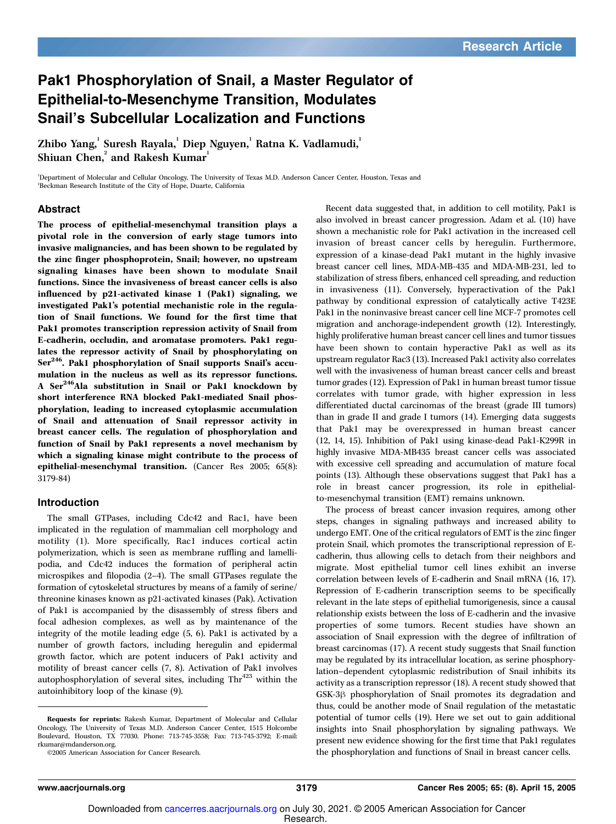## Pak1 Phosphorylation of Snail, a Master Regulator of Epithelial-to-Mesenchyme Transition, Modulates Snail's Subcellular Localization and Functions

Zhibo Yang,' Suresh Rayala,' Diep Nguyen,' Ratna K. Vadlamudi,' Shiuan Chen, $^2$  and Rakesh Kumar $^1$ 

<sup>1</sup>Department of Molecular and Cellular Oncology, The University of Texas M.D. Anderson Cancer Center, Houston, Texas and <sup>2</sup>Beckman Research Institute of the City of Hope, Duarte, California

### Abstract

The process of epithelial-mesenchymal transition plays a pivotal role in the conversion of early stage tumors into invasive malignancies, and has been shown to be regulated by the zinc finger phosphoprotein, Snail; however, no upstream signaling kinases have been shown to modulate Snail functions. Since the invasiveness of breast cancer cells is also influenced by p21-activated kinase 1 (Pak1) signaling, we investigated Pak1's potential mechanistic role in the regulation of Snail functions. We found for the first time that Pak1 promotes transcription repression activity of Snail from E-cadherin, occludin, and aromatase promoters. Pak1 regulates the repressor activity of Snail by phosphorylating on Ser<sup>246</sup>. Pak1 phosphorylation of Snail supports Snail's accumulation in the nucleus as well as its repressor functions. A Ser<sup>246</sup>Ala substitution in Snail or Pak1 knockdown by short interference RNA blocked Pak1-mediated Snail phosphorylation, leading to increased cytoplasmic accumulation of Snail and attenuation of Snail repressor activity in breast cancer cells. The regulation of phosphorylation and function of Snail by Pak1 represents a novel mechanism by which a signaling kinase might contribute to the process of epithelial-mesenchymal transition. (Cancer Res 2005; 65(8): 3179-84)

#### Introduction

The small GTPases, including Cdc42 and Rac1, have been implicated in the regulation of mammalian cell morphology and motility (1). More specifically, Rac1 induces cortical actin polymerization, which is seen as membrane ruffling and lamellipodia, and Cdc42 induces the formation of peripheral actin microspikes and filopodia (2–4). The small GTPases regulate the formation of cytoskeletal structures by means of a family of serine/ threonine kinases known as p21-activated kinases (Pak). Activation of Pak1 is accompanied by the disassembly of stress fibers and focal adhesion complexes, as well as by maintenance of the integrity of the motile leading edge (5, 6). Pak1 is activated by a number of growth factors, including heregulin and epidermal growth factor, which are potent inducers of Pak1 activity and motility of breast cancer cells (7, 8). Activation of Pak1 involves autophosphorylation of several sites, including  $\text{Thr}^{423}$  within the autoinhibitory loop of the kinase (9).

Recent data suggested that, in addition to cell motility, Pak1 is also involved in breast cancer progression. Adam et al. (10) have shown a mechanistic role for Pak1 activation in the increased cell invasion of breast cancer cells by heregulin. Furthermore, expression of a kinase-dead Pak1 mutant in the highly invasive breast cancer cell lines, MDA-MB-435 and MDA-MB-231, led to stabilization of stress fibers, enhanced cell spreading, and reduction in invasiveness (11). Conversely, hyperactivation of the Pak1 pathway by conditional expression of catalytically active T423E Pak1 in the noninvasive breast cancer cell line MCF-7 promotes cell migration and anchorage-independent growth (12). Interestingly, highly proliferative human breast cancer cell lines and tumor tissues have been shown to contain hyperactive Pak1 as well as its upstream regulator Rac3 (13). Increased Pak1 activity also correlates well with the invasiveness of human breast cancer cells and breast tumor grades (12). Expression of Pak1 in human breast tumor tissue correlates with tumor grade, with higher expression in less differentiated ductal carcinomas of the breast (grade III tumors) than in grade II and grade I tumors (14). Emerging data suggests that Pak1 may be overexpressed in human breast cancer (12, 14, 15). Inhibition of Pak1 using kinase-dead Pak1-K299R in highly invasive MDA-MB435 breast cancer cells was associated with excessive cell spreading and accumulation of mature focal points (13). Although these observations suggest that Pak1 has a role in breast cancer progression, its role in epithelialto-mesenchymal transition (EMT) remains unknown.

The process of breast cancer invasion requires, among other steps, changes in signaling pathways and increased ability to undergo EMT. One of the critical regulators of EMT is the zinc finger protein Snail, which promotes the transcriptional repression of Ecadherin, thus allowing cells to detach from their neighbors and migrate. Most epithelial tumor cell lines exhibit an inverse correlation between levels of E-cadherin and Snail mRNA (16, 17). Repression of E-cadherin transcription seems to be specifically relevant in the late steps of epithelial tumorigenesis, since a causal relationship exists between the loss of E-cadherin and the invasive properties of some tumors. Recent studies have shown an association of Snail expression with the degree of infiltration of breast carcinomas (17). A recent study suggests that Snail function may be regulated by its intracellular location, as serine phosphorylation–dependent cytoplasmic redistribution of Snail inhibits its activity as a transcription repressor (18). A recent study showed that GSK-3 $\beta$  phosphorylation of Snail promotes its degradation and thus, could be another mode of Snail regulation of the metastatic potential of tumor cells (19). Here we set out to gain additional insights into Snail phosphorylation by signaling pathways. We present new evidence showing for the first time that Pak1 regulates the phosphorylation and functions of Snail in breast cancer cells.

Requests for reprints: Rakesh Kumar, Department of Molecular and Cellular Oncology, The University of Texas M.D. Anderson Cancer Center, 1515 Holcombe Boulevard, Houston, TX 77030. Phone: 713-745-3558; Fax: 713-745-3792; E-mail: rkumar@mdanderson.org.

<sup>©2005</sup> American Association for Cancer Research.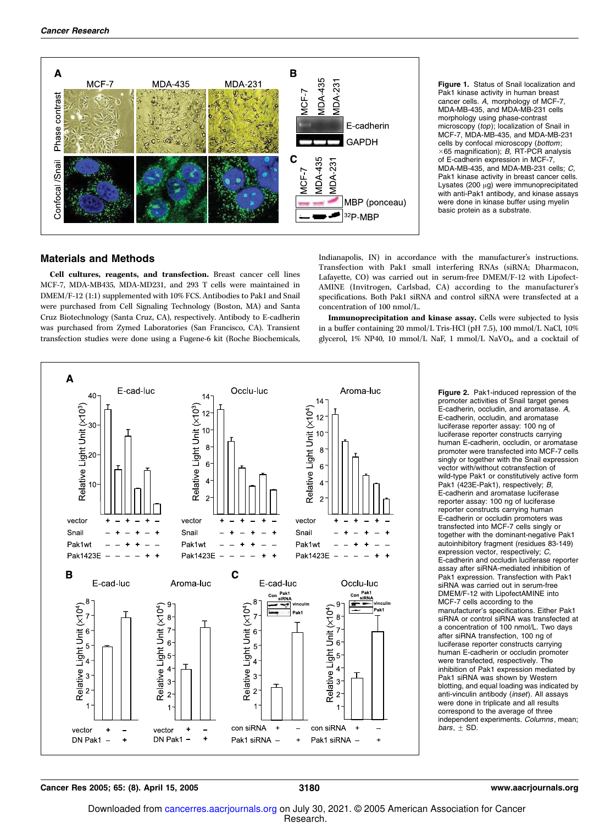

Figure 1. Status of Snail localization and Pak1 kinase activity in human breast cancer cells. A, morphology of MCF-7, MDA-MB-435, and MDA-MB-231 cells morphology using phase-contrast microscopy (top); localization of Snail in MCF-7, MDA-MB-435, and MDA-MB-231 cells by confocal microscopy (*bottom*;<br>×65 magnification); B, RT-PCR analysis of E-cadherin expression in MCF-7, MDA-MB-435, and MDA-MB-231 cells; C, Pak1 kinase activity in breast cancer cells. Lysates (200  $\mu$ g) were immunoprecipitated with anti-Pak1 antibody, and kinase assays were done in kinase buffer using myelin basic protein as a substrate.

#### Materials and Methods

Cell cultures, reagents, and transfection. Breast cancer cell lines MCF-7, MDA-MB435, MDA-MD231, and 293 T cells were maintained in DMEM/F-12 (1:1) supplemented with 10% FCS. Antibodies to Pak1 and Snail were purchased from Cell Signaling Technology (Boston, MA) and Santa Cruz Biotechnology (Santa Cruz, CA), respectively. Antibody to E-cadherin was purchased from Zymed Laboratories (San Francisco, CA). Transient transfection studies were done using a Fugene-6 kit (Roche Biochemicals,

Indianapolis, IN) in accordance with the manufacturer's instructions. Transfection with Pak1 small interfering RNAs (siRNA; Dharmacon, Lafayette, CO) was carried out in serum-free DMEM/F-12 with Lipofect-AMINE (Invitrogen, Carlsbad, CA) according to the manufacturer's specifications. Both Pak1 siRNA and control siRNA were transfected at a concentration of 100 nmol/L.

Immunoprecipitation and kinase assay. Cells were subjected to lysis in a buffer containing 20 mmol/L Tris-HCl (pH 7.5), 100 mmol/L NaCl, 10% glycerol, 1% NP40, 10 mmol/L NaF, 1 mmol/L NaVO<sup>4</sup> , and a cocktail of



Figure 2. Pak1-induced repression of the promoter activities of Snail target genes E-cadherin, occludin, and aromatase. A, E-cadherin, occludin, and aromatase luciferase reporter assay: 100 ng of luciferase reporter constructs carrying human E-cadherin, occludin, or aromatase promoter were transfected into MCF-7 cells singly or together with the Snail expression vector with/without cotransfection of wild-type Pak1 or constitutively active form Pak1 (423E-Pak1), respectively; B, E-cadherin and aromatase luciferase reporter assay: 100 ng of luciferase reporter constructs carrying human E-cadherin or occludin promoters was transfected into MCF-7 cells singly or together with the dominant-negative Pak1 autoinhibitory fragment (residues 83-149) expression vector, respectively; C, E-cadherin and occludin luciferase reporter assay after siRNA-mediated inhibition of Pak1 expression. Transfection with Pak1 siRNA was carried out in serum-free DMEM/F-12 with LipofectAMINE into MCF-7 cells according to the manufacturer's specifications. Either Pak1 siRNA or control siRNA was transfected at a concentration of 100 nmol/L. Two days after siRNA transfection, 100 ng of luciferase reporter constructs carrying human E-cadherin or occludin promoter were transfected, respectively. The inhibition of Pak1 expression mediated by Pak1 siRNA was shown by Western blotting, and equal loading was indicated by anti-vinculin antibody (inset). All assays were done in triplicate and all results correspond to the average of three independent experiments. Columns, mean; bars,  $\pm$  SD.

Cancer Res 2005; 65: (8). April 15, 2005 3180 www.aacrjournals.org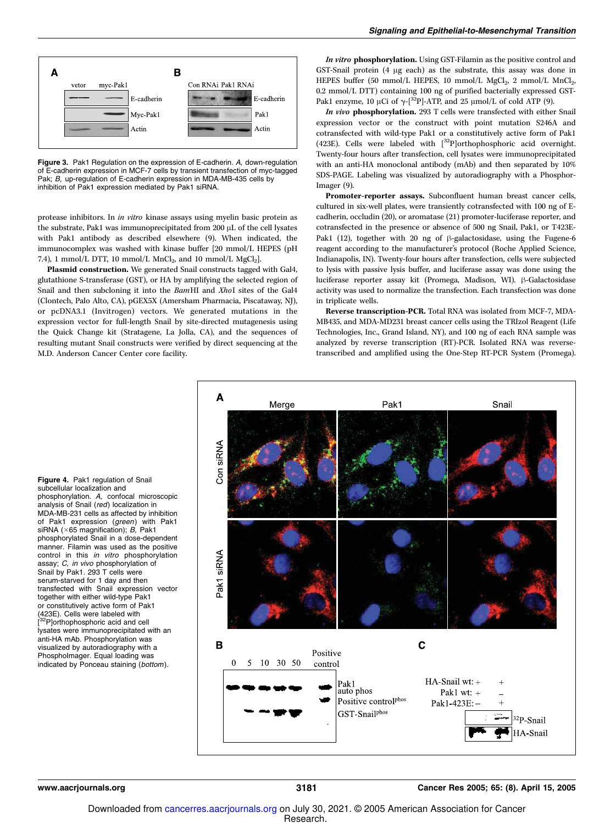

Figure 3. Pak1 Regulation on the expression of E-cadherin. A, down-regulation of E-cadherin expression in MCF-7 cells by transient transfection of myc-tagged Pak; B, up-regulation of E-cadherin expression in MDA-MB-435 cells by inhibition of Pak1 expression mediated by Pak1 siRNA.

protease inhibitors. In in vitro kinase assays using myelin basic protein as the substrate, Pak1 was immunoprecipitated from 200 µL of the cell lysates with Pak1 antibody as described elsewhere (9). When indicated, the immunocomplex was washed with kinase buffer [20 mmol/L HEPES (pH 7.4), 1 mmol/L DTT, 10 mmol/L  $MnCl_2$ , and 10 mmol/L  $MgCl_2$ ].

Plasmid construction. We generated Snail constructs tagged with Gal4, glutathione S-transferase (GST), or HA by amplifying the selected region of Snail and then subcloning it into the BamHI and XhoI sites of the Gal4 (Clontech, Palo Alto, CA), pGEX5X (Amersham Pharmacia, Piscataway, NJ), or pcDNA3.1 (Invitrogen) vectors. We generated mutations in the expression vector for full-length Snail by site-directed mutagenesis using the Quick Change kit (Stratagene, La Jolla, CA), and the sequences of resulting mutant Snail constructs were verified by direct sequencing at the M.D. Anderson Cancer Center core facility.

In vitro phosphorylation. Using GST-Filamin as the positive control and GST-Snail protein (4 µg each) as the substrate, this assay was done in HEPES buffer (50 mmol/L HEPES, 10 mmol/L  $MgCl<sub>2</sub>$ , 2 mmol/L  $MnCl<sub>2</sub>$ , 0.2 mmol/L DTT) containing 100 ng of purified bacterially expressed GST-Pak1 enzyme, 10  $\mu$ Ci of  $\gamma$ -[<sup>32</sup>P]-ATP, and 25  $\mu$ mol/L of cold ATP (9).

In vivo phosphorylation. 293 T cells were transfected with either Snail expression vector or the construct with point mutation S246A and cotransfected with wild-type Pak1 or a constitutively active form of Pak1 (423E). Cells were labeled with  $\int^{32}P$  orthophosphoric acid overnight. Twenty-four hours after transfection, cell lysates were immunoprecipitated with an anti-HA monoclonal antibody (mAb) and then separated by 10% SDS-PAGE. Labeling was visualized by autoradiography with a Phosphor-Imager (9).

Promoter-reporter assays. Subconfluent human breast cancer cells, cultured in six-well plates, were transiently cotransfected with 100 ng of Ecadherin, occludin (20), or aromatase (21) promoter-luciferase reporter, and cotransfected in the presence or absence of 500 ng Snail, Pak1, or T423E-Pak1 (12), together with 20 ng of  $\beta$ -galactosidase, using the Fugene-6 reagent according to the manufacturer's protocol (Roche Applied Science, Indianapolis, IN). Twenty-four hours after transfection, cells were subjected to lysis with passive lysis buffer, and luciferase assay was done using the luciferase reporter assay kit (Promega, Madison, WI). β-Galactosidase activity was used to normalize the transfection. Each transfection was done in triplicate wells.

Reverse transcription-PCR. Total RNA was isolated from MCF-7, MDA-MB435, and MDA-MD231 breast cancer cells using the TRIzol Reagent (Life Technologies, Inc., Grand Island, NY), and 100 ng of each RNA sample was analyzed by reverse transcription (RT)-PCR. Isolated RNA was reversetranscribed and amplified using the One-Step RT-PCR System (Promega).



Figure 4. Pak1 regulation of Snail subcellular localization and phosphorylation. A, confocal microscopic analysis of Snail (red) localization in MDA-MB-231 cells as affected by inhibition of Pak1 expression (green) with Pak1 siRNA ( $\times$ 65 magnification); B, Pak1 phosphorylated Snail in a dose-dependent manner. Filamin was used as the positive control in this in vitro phosphorylation assay; C, in vivo phosphorylation of Snail by Pak1. 293 T cells were serum-starved for 1 day and then transfected with Snail expression vector together with either wild-type Pak1 or constitutively active form of Pak1 (423E). Cells were labeled with [<sup>32</sup>P]orthophosphoric acid and cell lysates were immunoprecipitated with an anti-HA mAb. Phosphorylation was visualized by autoradiography with a PhosphoImager. Equal loading was indicated by Ponceau staining (bottom).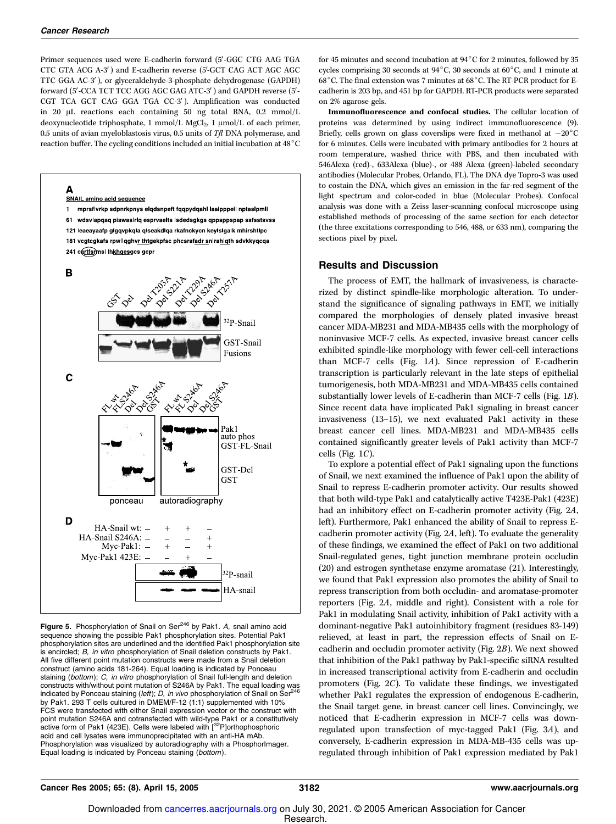Δ

Primer sequences used were E-cadherin forward (5'-GGC CTG AAG TGA CTC GTA ACG A-3') and E-cadherin reverse (5'-GCT CAG ACT AGC AGC TTC GGA AC-3'), or glyceraldehyde-3-phosphate dehydrogenase (GAPDH) forward (5'-CCA TCT TCC AGG AGC GAG ATC-3') and GAPDH reverse (5'-CGT TCA GCT CAG GGA TGA CC-3'). Amplification was conducted in 20 µL reactions each containing 50 ng total RNA, 0.2 mmol/L deoxynucleotide triphosphate, 1 mmol/L MgCl<sub>2</sub>, 1 µmol/L of each primer, 0.5 units of avian myeloblastosis virus, 0.5 units of  $Tf$ l DNA polymerase, and reaction buffer. The cycling conditions included an initial incubation at  $48^{\circ}$ C



Figure 5. Phosphorylation of Snail on Ser<sup>246</sup> by Pak1. A, snail amino acid sequence showing the possible Pak1 phosphorylation sites. Potential Pak1 phosphorylation sites are underlined and the identified Pak1 phosphorylation site is encircled; B, in vitro phosphorylation of Snail deletion constructs by Pak1. All five different point mutation constructs were made from a Snail deletion construct (amino acids 181-264). Equal loading is indicated by Ponceau staining (bottom); C, in vitro phosphorylation of Snail full-length and deletion constructs with/without point mutation of S246A by Pak1. The equal loading was indicated by Ponceau staining (left); D, in vivo phosphorylation of Snail on Ser<sup>4</sup> by Pak1. 293 T cells cultured in DMEM/F-12 (1:1) supplemented with 10% FCS were transfected with either Snail expression vector or the construct with point mutation S246A and cotransfected with wild-type Pak1 or a constitutively active form of Pak1 (423E). Cells were labeled with [32P]orthophosphoric acid and cell lysates were immunoprecipitated with an anti-HA mAb. Phosphorylation was visualized by autoradiography with a PhosphorImager. Equal loading is indicated by Ponceau staining (bottom).

for 45 minutes and second incubation at  $94^{\circ}$ C for 2 minutes, followed by 35 cycles comprising 30 seconds at  $94^{\circ}$ C, 30 seconds at  $60^{\circ}$ C, and 1 minute at 68 $^{\circ}$ C. The final extension was 7 minutes at 68 $^{\circ}$ C. The RT-PCR product for Ecadherin is 203 bp, and 451 bp for GAPDH. RT-PCR products were separated on 2% agarose gels.

Immunofluorescence and confocal studies. The cellular location of proteins was determined by using indirect immunofluorescence (9). Briefly, cells grown on glass coverslips were fixed in methanol at  $-20^{\circ}\mathrm{C}$ for 6 minutes. Cells were incubated with primary antibodies for 2 hours at room temperature, washed thrice with PBS, and then incubated with 546Alexa (red)-, 633Alexa (blue)-, or 488 Alexa (green)-labeled secondary antibodies (Molecular Probes, Orlando, FL). The DNA dye Topro-3 was used to costain the DNA, which gives an emission in the far-red segment of the light spectrum and color-coded in blue (Molecular Probes). Confocal analysis was done with a Zeiss laser-scanning confocal microscope using established methods of processing of the same section for each detector (the three excitations corresponding to 546, 488, or 633 nm), comparing the sections pixel by pixel.

### Results and Discussion

The process of EMT, the hallmark of invasiveness, is characterized by distinct spindle-like morphologic alteration. To understand the significance of signaling pathways in EMT, we initially compared the morphologies of densely plated invasive breast cancer MDA-MB231 and MDA-MB435 cells with the morphology of noninvasive MCF-7 cells. As expected, invasive breast cancer cells exhibited spindle-like morphology with fewer cell-cell interactions than MCF-7 cells (Fig. 1A). Since repression of E-cadherin transcription is particularly relevant in the late steps of epithelial tumorigenesis, both MDA-MB231 and MDA-MB435 cells contained substantially lower levels of E-cadherin than MCF-7 cells (Fig. 1B). Since recent data have implicated Pak1 signaling in breast cancer invasiveness (13–15), we next evaluated Pak1 activity in these breast cancer cell lines. MDA-MB231 and MDA-MB435 cells contained significantly greater levels of Pak1 activity than MCF-7 cells (Fig.  $1C$ ).

To explore a potential effect of Pak1 signaling upon the functions of Snail, we next examined the influence of Pak1 upon the ability of Snail to repress E-cadherin promoter activity. Our results showed that both wild-type Pak1 and catalytically active T423E-Pak1 (423E) had an inhibitory effect on E-cadherin promoter activity (Fig. 2A, left). Furthermore, Pak1 enhanced the ability of Snail to repress Ecadherin promoter activity (Fig. 2A, left). To evaluate the generality of these findings, we examined the effect of Pak1 on two additional Snail-regulated genes, tight junction membrane protein occludin (20) and estrogen synthetase enzyme aromatase (21). Interestingly, we found that Pak1 expression also promotes the ability of Snail to repress transcription from both occludin- and aromatase-promoter reporters (Fig. 2A, middle and right). Consistent with a role for Pak1 in modulating Snail activity, inhibition of Pak1 activity with a dominant-negative Pak1 autoinhibitory fragment (residues 83-149) relieved, at least in part, the repression effects of Snail on Ecadherin and occludin promoter activity (Fig. 2B). We next showed that inhibition of the Pak1 pathway by Pak1-specific siRNA resulted in increased transcriptional activity from E-cadherin and occludin promoters (Fig. 2C). To validate these findings, we investigated whether Pak1 regulates the expression of endogenous E-cadherin, the Snail target gene, in breast cancer cell lines. Convincingly, we noticed that E-cadherin expression in MCF-7 cells was downregulated upon transfection of myc-tagged Pak1 (Fig. 3A), and conversely, E-cadherin expression in MDA-MB-435 cells was upregulated through inhibition of Pak1 expression mediated by Pak1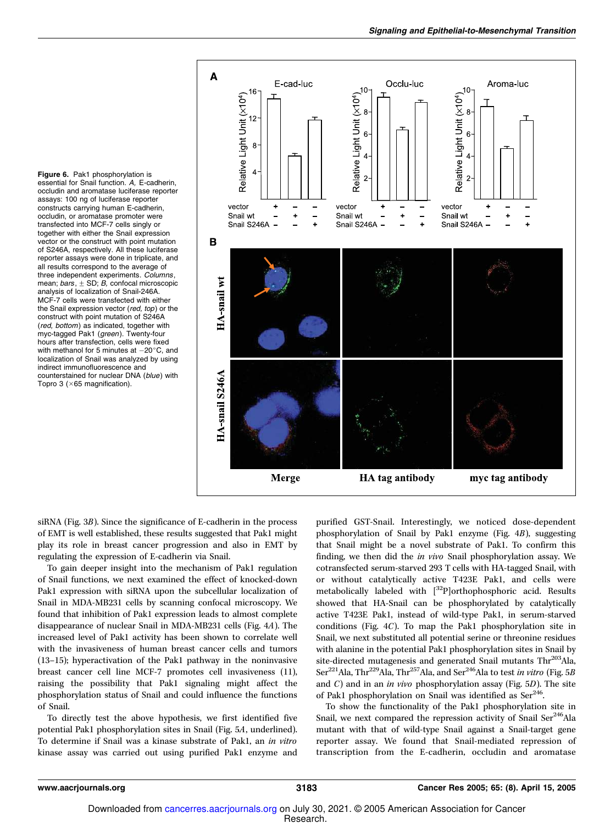Figure 6. Pak1 phosphorylation is essential for Snail function. A, E-cadherin, occludin and aromatase luciferase reporter assays: 100 ng of luciferase reporter constructs carrying human E-cadherin, occludin, or aromatase promoter were transfected into MCF-7 cells singly or together with either the Snail expression vector or the construct with point mutation of S246A, respectively. All these luciferase reporter assays were done in triplicate, and all results correspond to the average of three independent experiments. Columns, mean;  $bars, \pm SD$ ; B, confocal microscopic analysis of localization of Snail-246A. MCF-7 cells were transfected with either the Snail expression vector (red, top) or the construct with point mutation of S246A (red, bottom) as indicated, together with myc-tagged Pak1 (green). Twenty-four hours after transfection, cells were fixed with methanol for 5 minutes at  $-20^{\circ}$ C, and localization of Snail was analyzed by using indirect immunofluorescence and counterstained for nuclear DNA (blue) with Topro 3 ( $\times$ 65 magnification).



siRNA (Fig. 3B). Since the significance of E-cadherin in the process of EMT is well established, these results suggested that Pak1 might play its role in breast cancer progression and also in EMT by regulating the expression of E-cadherin via Snail.

To gain deeper insight into the mechanism of Pak1 regulation of Snail functions, we next examined the effect of knocked-down Pak1 expression with siRNA upon the subcellular localization of Snail in MDA-MB231 cells by scanning confocal microscopy. We found that inhibition of Pak1 expression leads to almost complete disappearance of nuclear Snail in MDA-MB231 cells (Fig. 4A). The increased level of Pak1 activity has been shown to correlate well with the invasiveness of human breast cancer cells and tumors (13–15); hyperactivation of the Pak1 pathway in the noninvasive breast cancer cell line MCF-7 promotes cell invasiveness (11), raising the possibility that Pak1 signaling might affect the phosphorylation status of Snail and could influence the functions of Snail.

To directly test the above hypothesis, we first identified five potential Pak1 phosphorylation sites in Snail (Fig. 5A, underlined). To determine if Snail was a kinase substrate of Pak1, an in vitro kinase assay was carried out using purified Pak1 enzyme and purified GST-Snail. Interestingly, we noticed dose-dependent phosphorylation of Snail by Pak1 enzyme (Fig. 4B), suggesting that Snail might be a novel substrate of Pak1. To confirm this finding, we then did the in vivo Snail phosphorylation assay. We cotransfected serum-starved 293 T cells with HA-tagged Snail, with or without catalytically active T423E Pak1, and cells were metabolically labeled with  $[^{32}P]$ orthophosphoric acid. Results showed that HA-Snail can be phosphorylated by catalytically active T423E Pak1, instead of wild-type Pak1, in serum-starved conditions (Fig. 4C). To map the Pak1 phosphorylation site in Snail, we next substituted all potential serine or threonine residues with alanine in the potential Pak1 phosphorylation sites in Snail by site-directed mutagenesis and generated Snail mutants Thr<sup>203</sup>Ala, Ser<sup>221</sup>Ala, Thr<sup>229</sup>Ala, Thr<sup>257</sup>Ala, and Ser<sup>246</sup>Ala to test in vitro (Fig. 5B) and  $C$ ) and in an *in vivo* phosphorylation assay (Fig. 5D). The site of Pak1 phosphorylation on Snail was identified as  $\text{Ser}^{246}$ . .

To show the functionality of the Pak1 phosphorylation site in Snail, we next compared the repression activity of Snail Ser<sup>246</sup>Ala mutant with that of wild-type Snail against a Snail-target gene reporter assay. We found that Snail-mediated repression of transcription from the E-cadherin, occludin and aromatase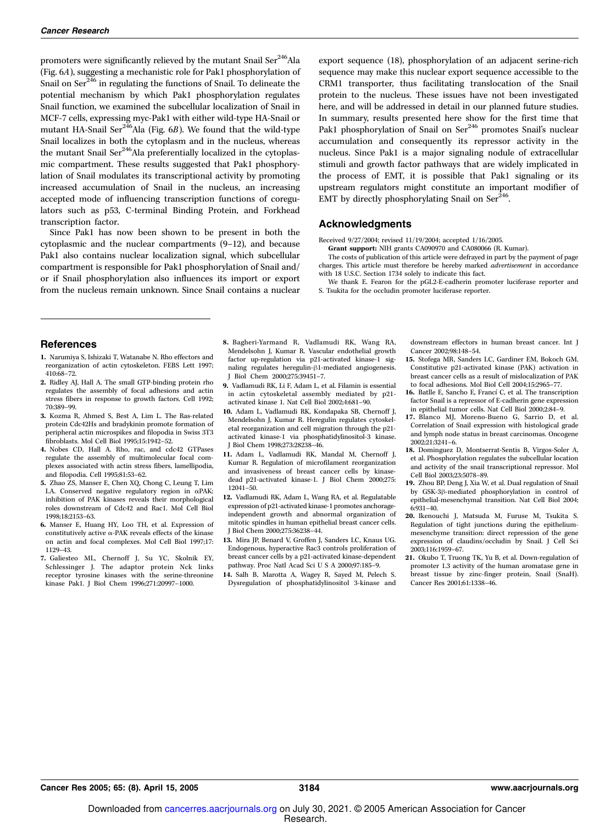promoters were significantly relieved by the mutant Snail Ser<sup>246</sup>Ala (Fig. 6A), suggesting a mechanistic role for Pak1 phosphorylation of Snail on Ser<sup>246</sup> in regulating the functions of Snail. To delineate the potential mechanism by which Pak1 phosphorylation regulates Snail function, we examined the subcellular localization of Snail in MCF-7 cells, expressing myc-Pak1 with either wild-type HA-Snail or mutant HA-Snail Ser $^{246}$ Ala (Fig. 6B). We found that the wild-type Snail localizes in both the cytoplasm and in the nucleus, whereas the mutant Snail Ser<sup>246</sup>Ala preferentially localized in the cytoplasmic compartment. These results suggested that Pak1 phosphorylation of Snail modulates its transcriptional activity by promoting increased accumulation of Snail in the nucleus, an increasing accepted mode of influencing transcription functions of coregulators such as p53, C-terminal Binding Protein, and Forkhead transcription factor.

Since Pak1 has now been shown to be present in both the cytoplasmic and the nuclear compartments (9–12), and because Pak1 also contains nuclear localization signal, which subcellular compartment is responsible for Pak1 phosphorylation of Snail and/ or if Snail phosphorylation also influences its import or export from the nucleus remain unknown. Since Snail contains a nuclear export sequence (18), phosphorylation of an adjacent serine-rich sequence may make this nuclear export sequence accessible to the CRM1 transporter, thus facilitating translocation of the Snail protein to the nucleus. These issues have not been investigated here, and will be addressed in detail in our planned future studies. In summary, results presented here show for the first time that Pak1 phosphorylation of Snail on Ser<sup>246</sup> promotes Snail's nuclear accumulation and consequently its repressor activity in the nucleus. Since Pak1 is a major signaling nodule of extracellular stimuli and growth factor pathways that are widely implicated in the process of EMT, it is possible that Pak1 signaling or its upstream regulators might constitute an important modifier of EMT by directly phosphorylating Snail on Ser $^{246}$ . .

#### Acknowledgments

Received 9/27/2004; revised 11/19/2004; accepted 1/16/2005.

Grant support: NIH grants CA090970 and CA080066 (R. Kumar).

The costs of publication of this article were defrayed in part by the payment of page charges. This article must therefore be hereby marked *advertisement* in accordance with 18 U.S.C. Section 1734 solely to indicate this fact.

We thank E. Fearon for the pGL2-E-cadherin promoter luciferase reporter and S. Tsukita for the occludin promoter luciferase reporter.

#### **References**

- 1. Narumiya S, Ishizaki T, Watanabe N. Rho effectors and reorganization of actin cytoskeleton. FEBS Lett 1997; 410:68–72.
- 2. Ridley AJ, Hall A. The small GTP-binding protein rho regulates the assembly of focal adhesions and actin stress fibers in response to growth factors. Cell 1992; 70:389–99.
- 3. Kozma R, Ahmed S, Best A, Lim L. The Ras-related protein Cdc42Hs and bradykinin promote formation of peripheral actin microspikes and filopodia in Swiss 3T3 fibroblasts. Mol Cell Biol 1995;15:1942–52.
- 4. Nobes CD, Hall A. Rho, rac, and cdc42 GTPases regulate the assembly of multimolecular focal complexes associated with actin stress fibers, lamellipodia, and filopodia. Cell 1995;81:53–62.
- 5. Zhao ZS, Manser E, Chen XQ, Chong C, Leung T, Lim LA. Conserved negative regulatory region in aPAK: inhibition of PAK kinases reveals their morphological roles downstream of Cdc42 and Rac1. Mol Cell Biol 1998;18:2153–63.
- 6. Manser E, Huang HY, Loo TH, et al. Expression of constitutively active  $\alpha$ -PAK reveals effects of the kinase on actin and focal complexes. Mol Cell Biol 1997;17: 1129–43.
- 7. Galiesteo ML, Chernoff J, Su YC, Skolnik EY, Schlessinger J. The adaptor protein Nck links receptor tyrosine kinases with the serine-threonine kinase Pak1. J Biol Chem 1996;271:20997–1000.
- 8. Bagheri-Yarmand R, Vadlamudi RK, Wang RA, Mendelsohn J, Kumar R. Vascular endothelial growth factor up-regulation via p21-activated kinase-1 signaling regulates heregulin- $\beta$ 1-mediated angiogenesis. J Biol Chem 2000;275:39451–7.
- 9. Vadlamudi RK, Li F, Adam L, et al. Filamin is essential in actin cytoskeletal assembly mediated by p21 activated kinase 1. Nat Cell Biol 2002;4:681–90.
- 10. Adam L, Vadlamudi RK, Kondapaka SB, Chernoff J, Mendelsohn J, Kumar R. Heregulin regulates cytoskeletal reorganization and cell migration through the p21 activated kinase-1 via phosphatidylinositol-3 kinase. J Biol Chem 1998;273:28238–46.
- 11. Adam L, Vadlamudi RK, Mandal M, Chernoff J, Kumar R. Regulation of microfilament reorganization and invasiveness of breast cancer cells by kinasedead p21-activated kinase-1. J Biol Chem 2000;275: 12041–50.
- 12. Vadlamudi RK, Adam L, Wang RA, et al. Regulatable expression of p21-activated kinase-1 promotes anchorageindependent growth and abnormal organization of mitotic spindles in human epithelial breast cancer cells. J Biol Chem 2000;275:36238–44.
- 13. Mira JP, Benard V, Groffen J, Sanders LC, Knaus UG. Endogenous, hyperactive Rac3 controls proliferation of breast cancer cells by a p21-activated kinase-dependent pathway. Proc Natl Acad Sci U S A 2000;97:185–9.
- 14. Salh B, Marotta A, Wagey R, Sayed M, Pelech S. Dysregulation of phosphatidylinositol 3-kinase and

downstream effectors in human breast cancer. Int J Cancer 2002;98:148–54.

- 15. Stofega MR, Sanders LC, Gardiner EM, Bokoch GM. Constitutive p21-activated kinase (PAK) activation in breast cancer cells as a result of mislocalization of PAK to focal adhesions. Mol Biol Cell 2004;15:2965–77.
- 16. Batlle E, Sancho E, Francí C, et al. The transcription factor Snail is a repressor of E-cadherin gene expression in epithelial tumor cells. Nat Cell Biol 2000;2:84–9.
- 17. Blanco MJ, Moreno-Bueno G, Sarrio D, et al. Correlation of Snail expression with histological grade and lymph node status in breast carcinomas. Oncogene 2002;21:3241–6.
- 18. Dominguez D, Montserrat-Sentis B, Virgos-Soler A, et al. Phosphorylation regulates the subcellular location and activity of the snail transcriptional repressor. Mol Cell Biol 2003;23:5078–89.
- 19. Zhou BP, Deng J, Xia W, et al. Dual regulation of Snail by GSK-3 $\beta$ -mediated phosphorylation in control of epithelial-mesenchymal transition. Nat Cell Biol 2004; 6:931–40.
- 20. Ikenouchi J, Matsuda M, Furuse M, Tsukita S. Regulation of tight junctions during the epitheliummesenchyme transition: direct repression of the gene expression of claudins/occludin by Snail. J Cell Sci 2003;116:1959–67.
- 21. Okubo T, Truong TK, Yu B, et al. Down-regulation of promoter 1.3 activity of the human aromatase gene in breast tissue by zinc-finger protein, Snail (SnaH). Cancer Res 2001;61:1338–46.